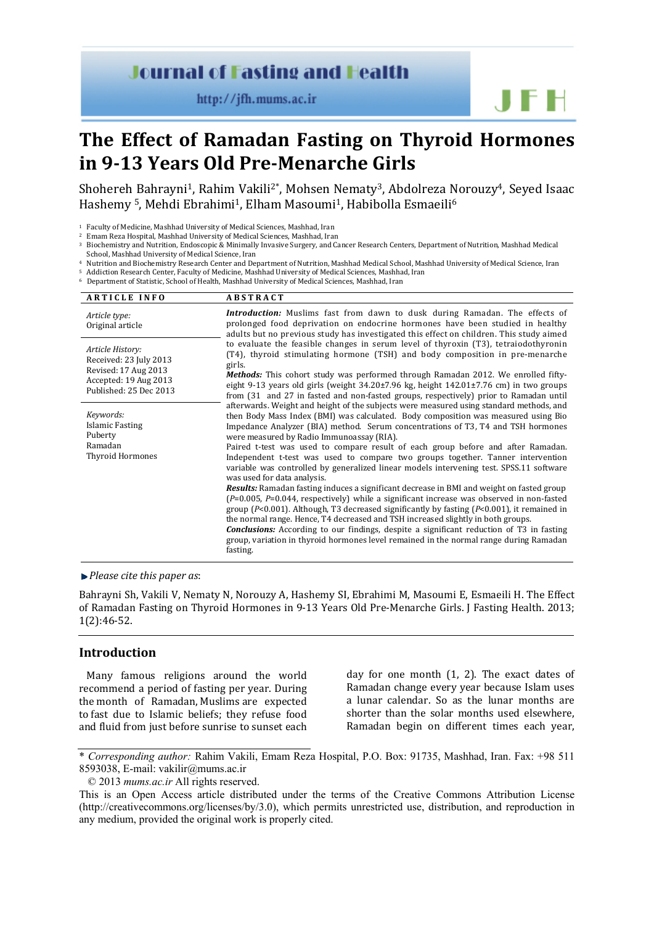# **Journal of Fasting and Health**

http://jfh.mums.ac.ir

**The Effect of Ramadan Fasting on Thyroid Hormones in 9-13 Years Old Pre-Menarche Girls**

Shohereh Bahrayni<sup>1</sup>, Rahim Vakili<sup>2\*</sup>, Mohsen Nematy<sup>3</sup>, Abdolreza Norouzy<sup>4</sup>, Seyed Isaac Hashemy <sup>5</sup>, Mehdi Ebrahimi<sup>1</sup>, Elham Masoumi<sup>1</sup>, Habibolla Esmaeili<sup>6</sup>

- Biochemistry and Nutrition, Endoscopic & Minimally Invasive Surgery, and Cancer Research Centers, Department of Nutrition, Mashhad Medical School, Mashhad Medical School, Mashhad University of Medical Science, Iran
- Nutrition and Biochemistry Research Center and Department of Nutrition, Mashhad Medical School, Mashhad University of Medical Science, Iran <sup>5</sup> Addiction Research Center, Faculty of Medicine, Mashhad University of Medical Sciences, Mashhad, Iran

<sup>6</sup> Department of Statistic, School of Health, Mashhad University of Medical Sciences, Mashhad, Iran

| <b>ARTICLE INFO</b>                                                                         | <b>ABSTRACT</b>                                                                                                                                                                                                                                                                                                                                                                                                                                                                                                                                                                       |
|---------------------------------------------------------------------------------------------|---------------------------------------------------------------------------------------------------------------------------------------------------------------------------------------------------------------------------------------------------------------------------------------------------------------------------------------------------------------------------------------------------------------------------------------------------------------------------------------------------------------------------------------------------------------------------------------|
| Article type:<br>Original article                                                           | <b>Introduction:</b> Muslims fast from dawn to dusk during Ramadan. The effects of<br>prolonged food deprivation on endocrine hormones have been studied in healthy<br>adults but no previous study has investigated this effect on children. This study aimed                                                                                                                                                                                                                                                                                                                        |
| Article History:<br>Received: 23 July 2013<br>Revised: 17 Aug 2013<br>Accepted: 19 Aug 2013 | to evaluate the feasible changes in serum level of thyroxin (T3), tetraiodothyronin<br>(T4), thyroid stimulating hormone (TSH) and body composition in pre-menarche<br>girls.<br><b>Methods:</b> This cohort study was performed through Ramadan 2012. We enrolled fifty-<br>eight 9-13 years old girls (weight $34.20\pm7.96$ kg, height $142.01\pm7.76$ cm) in two groups                                                                                                                                                                                                           |
| Published: 25 Dec 2013                                                                      | from (31 and 27 in fasted and non-fasted groups, respectively) prior to Ramadan until<br>afterwards. Weight and height of the subjects were measured using standard methods, and                                                                                                                                                                                                                                                                                                                                                                                                      |
| Keywords:<br>Islamic Fasting<br>Puberty                                                     | then Body Mass Index (BMI) was calculated. Body composition was measured using Bio<br>Impedance Analyzer (BIA) method. Serum concentrations of T3, T4 and TSH hormones<br>were measured by Radio Immunoassay (RIA).                                                                                                                                                                                                                                                                                                                                                                   |
| Ramadan<br><b>Thyroid Hormones</b>                                                          | Paired t-test was used to compare result of each group before and after Ramadan.<br>Independent t-test was used to compare two groups together. Tanner intervention<br>variable was controlled by generalized linear models intervening test. SPSS.11 software<br>was used for data analysis.                                                                                                                                                                                                                                                                                         |
|                                                                                             | <b>Results:</b> Ramadan fasting induces a significant decrease in BMI and weight on fasted group<br>$(P=0.005, P=0.044,$ respectively) while a significant increase was observed in non-fasted<br>group ( $P<0.001$ ). Although, T3 decreased significantly by fasting ( $P<0.001$ ), it remained in<br>the normal range. Hence, T4 decreased and TSH increased slightly in both groups.<br><b>Conclusions:</b> According to our findings, despite a significant reduction of T3 in fasting<br>group, variation in thyroid hormones level remained in the normal range during Ramadan |
|                                                                                             | fasting.                                                                                                                                                                                                                                                                                                                                                                                                                                                                                                                                                                              |

#### *Please cite this paper as*:

Bahrayni Sh, Vakili V, Nematy N, Norouzy A, Hashemy SI, Ebrahimi M, Masoumi E, Esmaeili H. The Effect of Ramadan Fasting on Thyroid Hormones in 9-13 Years Old Pre-Menarche Girls. J Fasting Health. 2013; 1(2):46-52.

# **Introduction**

Many famous religions around the world recommend a period of fasting per year. During the month of Ramadan, Muslims are expected to fast due to Islamic beliefs; they refuse food and fluid from just before sunrise to sunset each

day for one month (1, 2). The exact dates of Ramadan change every year because Islam uses a lunar calendar. So as the lunar months are shorter than the solar months used elsewhere, Ramadan begin on different times each year,

JFH

<sup>1</sup> Faculty of Medicine, Mashhad University of Medical Sciences, Mashhad, Iran

<sup>2</sup> Emam Reza Hospital, Mashhad University of Medical Sciences, Mashhad, Iran

<sup>\*</sup> *Corresponding author:* Rahim Vakili, Emam Reza Hospital, P.O. Box: 91735, Mashhad, Iran. Fax: +98 511 8593038, E-mail: vakilir@mums.ac.ir

<sup>© 2013</sup> *mums.ac.ir* All rights reserved.

This is an Open Access article distributed under the terms of the Creative Commons Attribution License (http://creativecommons.org/licenses/by/3.0), which permits unrestricted use, distribution, and reproduction in any medium, provided the original work is properly cited.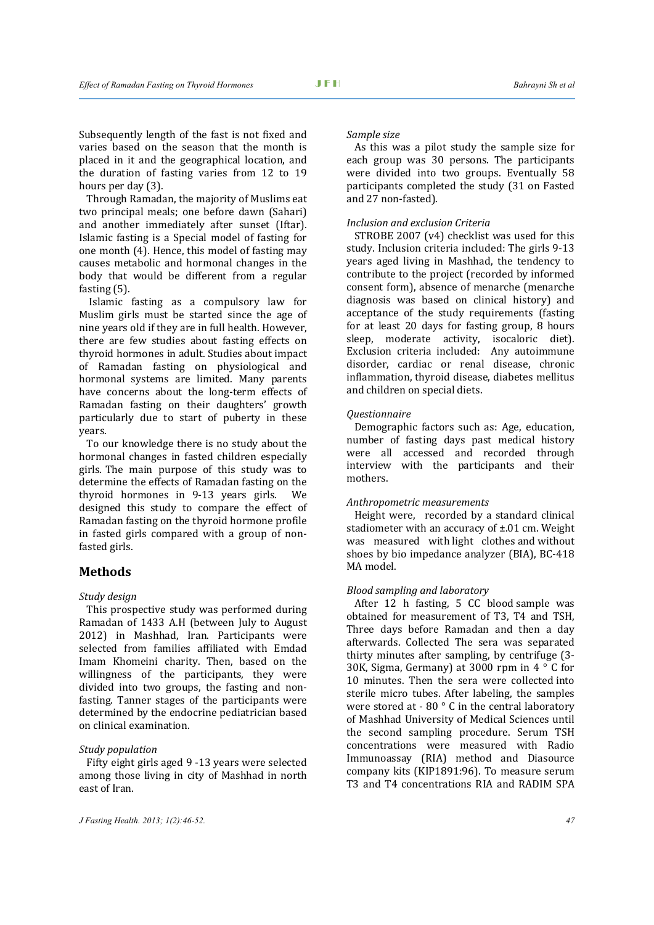Subsequently length of the fast is not fixed and varies based on the season that the month is placed in it and the geographical location, and the duration of fasting varies from 12 to 19 hours per day (3).

Through Ramadan, the majority of Muslims eat two principal meals; one before dawn (Sahari) and another immediately after sunset (Iftar). Islamic fasting is a Special model of fasting for one month (4). Hence, this model of fasting may causes metabolic and hormonal changes in the body that would be different from a regular fasting (5).

Islamic fasting as a compulsory law for Muslim girls must be started since the age of nine years old if they are in full health. However, there are few studies about fasting effects on thyroid hormones in adult. Studies about impact of Ramadan fasting on physiological and hormonal systems are limited. Many parents have concerns about the long-term effects of Ramadan fasting on their daughters' growth particularly due to start of puberty in these years.

To our knowledge there is no study about the hormonal changes in fasted children especially girls. The main purpose of this study was to determine the effects of Ramadan fasting on the thyroid hormones in 9-13 years girls. We designed this study to compare the effect of Ramadan fasting on the thyroid hormone profile in fasted girls compared with a group of nonfasted girls.

# **Methods**

#### *Study design*

This prospective study was performed during Ramadan of 1433 A.H (between July to August 2012) in Mashhad, Iran. Participants were selected from families affiliated with Emdad Imam Khomeini charity. Then, based on the willingness of the participants, they were divided into two groups, the fasting and nonfasting. Tanner stages of the participants were determined by the endocrine pediatrician based on clinical examination.

# *Study population*

Fifty eight girls aged 9 -13 years were selected among those living in city of Mashhad in north east of Iran.

As this was a pilot study the sample size for each group was 30 persons. The participants were divided into two groups. Eventually 58 participants completed the study (31 on Fasted and 27 non-fasted).

## *Inclusion and exclusion Criteria*

STROBE 2007 (v4) checklist was used for this study. Inclusion criteria included: The girls 9-13 years aged living in Mashhad, the tendency to contribute to the project (recorded by informed consent form), absence of menarche (menarche diagnosis was based on clinical history) and acceptance of the study requirements (fasting for at least 20 days for fasting group, 8 hours sleep, moderate activity, isocaloric diet). Exclusion criteria included: Any autoimmune disorder, cardiac or renal disease, chronic inflammation, thyroid disease, diabetes mellitus and children on special diets.

## *Questionnaire*

Demographic factors such as: Age, education, number of fasting days past medical history were all accessed and recorded through interview with the participants and their mothers.

## *Anthropometric measurements*

Height were, recorded by a standard clinical stadiometer with an accuracy of ±.01 cm. Weight was measured with light clothes and without shoes by bio impedance analyzer (BIA), BC-418 MA model.

#### *Blood sampling and laboratory*

After 12 h fasting, 5 CC blood sample was obtained for measurement of T3, T4 and TSH, Three days before Ramadan and then a day afterwards. Collected The sera was separated thirty minutes after sampling, by centrifuge (3- 30K, Sigma, Germany) at 3000 rpm in 4 ° C for 10 minutes. Then the sera were collected into sterile micro tubes. After labeling, the samples were stored at - 80 ° C in the central laboratory of Mashhad University of Medical Sciences until the second sampling procedure. Serum TSH concentrations were measured with Radio Immunoassay (RIA) method and Diasource company kits (KIP1891:96). To measure serum T3 and T4 concentrations RIA and RADIM SPA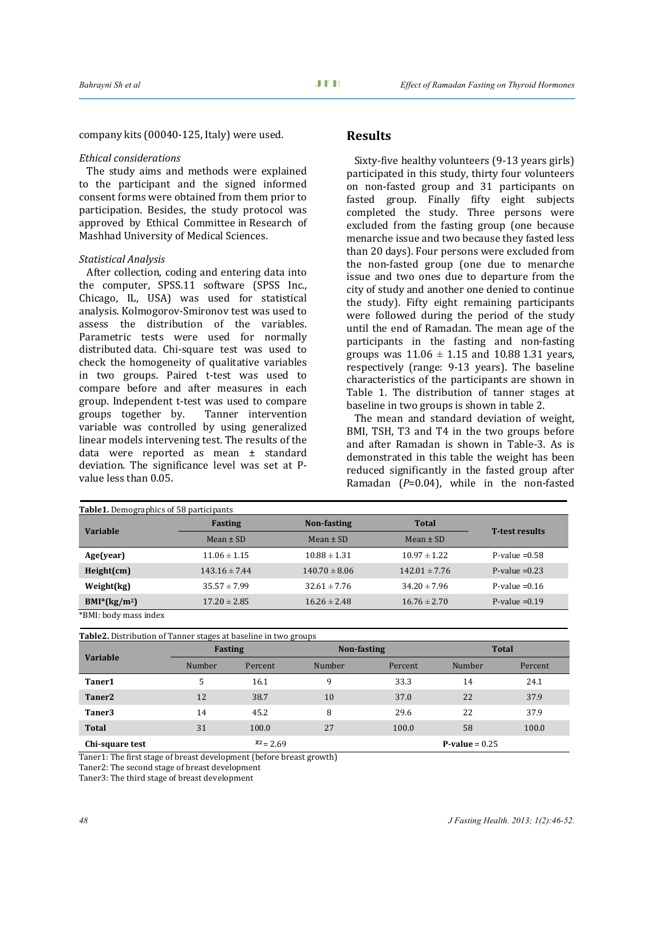company kits (00040-125, Italy) were used.

## *Ethical considerations*

The study aims and methods were explained to the participant and the signed informed consent forms were obtained from them prior to participation. Besides, the study protocol was approved by Ethical Committee in Research of Mashhad University of Medical Sciences.

# *Statistical Analysis*

After collection, coding and entering data into the computer, SPSS.11 software (SPSS Inc., Chicago, IL, USA) was used for statistical analysis. Kolmogorov-Smironov test was used to assess the distribution of the variables. Parametric tests were used for normally distributed data. Chi-square test was used to check the homogeneity of qualitative variables in two groups. Paired t-test was used to compare before and after measures in each group. Independent t-test was used to compare<br>groups together by. Tanner intervention groups together by. variable was controlled by using generalized linear models intervening test. The results of the data were reported as mean ± standard deviation. The significance level was set at Pvalue less than 0.05.

## **Results**

Sixty-five healthy volunteers (9-13 years girls) participated in this study, thirty four volunteers on non-fasted group and 31 participants on fasted group. Finally fifty eight subjects completed the study. Three persons were excluded from the fasting group (one because menarche issue and two because they fasted less than 20 days). Four persons were excluded from the non-fasted group (one due to menarche issue and two ones due to departure from the city of study and another one denied to continue the study). Fifty eight remaining participants were followed during the period of the study until the end of Ramadan. The mean age of the participants in the fasting and non-fasting groups was  $11.06 \pm 1.15$  and  $10.88$  1.31 years, respectively (range: 9-13 years). The baseline characteristics of the participants are shown in Table 1. The distribution of tanner stages at baseline in two groups is shown in table 2.

The mean and standard deviation of weight, BMI, TSH, T3 and T4 in the two groups before and after Ramadan is shown in Table-3. As is demonstrated in this table the weight has been reduced significantly in the fasted group after Ramadan (*P*=0.04), while in the non-fasted

| <b>Table1.</b> Demographics of 58 participants |                   |                   |                   |                       |  |  |
|------------------------------------------------|-------------------|-------------------|-------------------|-----------------------|--|--|
| <b>Variable</b>                                | <b>Fasting</b>    | Non-fasting       | <b>Total</b>      |                       |  |  |
|                                                | Mean $\pm$ SD     | Mean $\pm$ SD     | Mean $\pm$ SD     | <b>T-test results</b> |  |  |
| Age(year)                                      | $11.06 \pm 1.15$  | $10.88 \pm 1.31$  | $10.97 \pm 1.22$  | P-value $=0.58$       |  |  |
| Height(cm)                                     | $143.16 \pm 7.44$ | $140.70 \pm 8.06$ | $142.01 \pm 7.76$ | P-value $=0.23$       |  |  |
| Weight(kg)                                     | $35.57 \pm 7.99$  | $32.61 \pm 7.76$  | $34.20 \pm 7.96$  | P-value $= 0.16$      |  |  |
| $BMI*(kg/m2)$                                  | $17.20 \pm 2.85$  | $16.26 \pm 2.48$  | $16.76 \pm 2.70$  | P-value $=0.19$       |  |  |
| $*$ DML kada masa indan                        |                   |                   |                   |                       |  |  |

\*BMI: body mass index

| <b>Variable</b>    | <b>Fasting</b> |              | Non-fasting |         | <b>Total</b>     |         |
|--------------------|----------------|--------------|-------------|---------|------------------|---------|
|                    | Number         | Percent      | Number      | Percent | Number           | Percent |
| Taner1             | 5              | 16.1         | 9           | 33.3    | 14               | 24.1    |
| Taner <sub>2</sub> | 12             | 38.7         | 10          | 37.0    | 22               | 37.9    |
| Taner3             | 14             | 45.2         | 8           | 29.6    | 22               | 37.9    |
| <b>Total</b>       | 31             | 100.0        | 27          | 100.0   | 58               | 100.0   |
| Chi-square test    |                | $x_2 = 2.69$ |             |         | $P-value = 0.25$ |         |

Taner1: The first stage of breast development (before breast growth)

Taner2: The second stage of breast development

Taner3: The third stage of breast development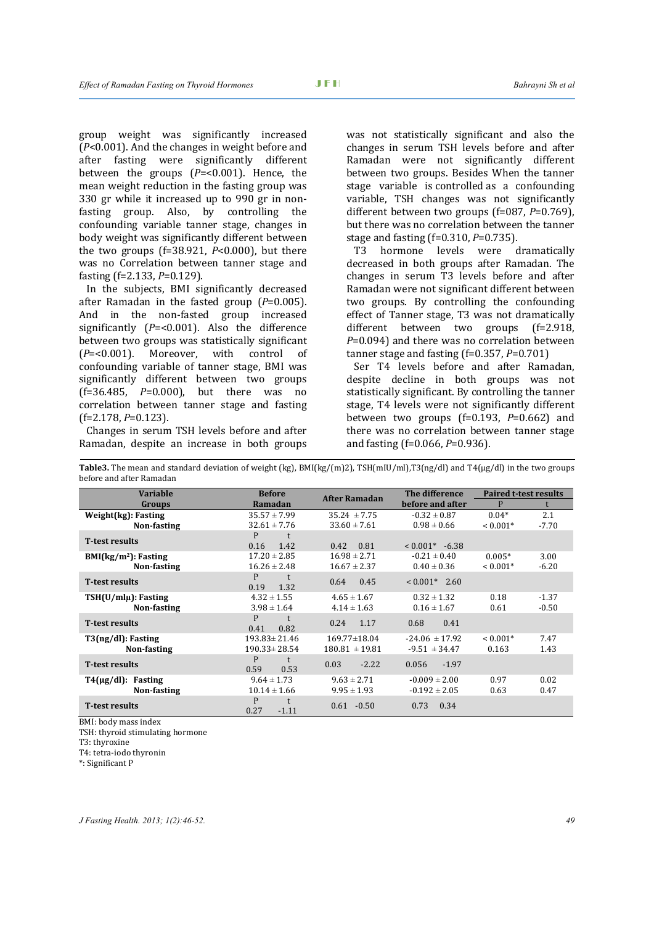group weight was significantly increased (*P*<0.001). And the changes in weight before and after fasting were significantly different between the groups (*P*=<0.001). Hence, the mean weight reduction in the fasting group was 330 gr while it increased up to 990 gr in nonfasting group. Also, by controlling the confounding variable tanner stage, changes in body weight was significantly different between the two groups  $(f=38.921, P<0.000)$ , but there was no Correlation between tanner stage and fasting (f=2.133, *P*=0.129).

In the subjects, BMI significantly decreased after Ramadan in the fasted group (*P*=0.005). And in the non-fasted group increased significantly (*P*=<0.001). Also the difference between two groups was statistically significant  $(P=<0.001)$ . Moreover, with control of  $(P=<0.001)$ . Moreover, with confounding variable of tanner stage, BMI was significantly different between two groups (f=36.485, *P*=0.000), but there was no correlation between tanner stage and fasting (f=2.178, *P*=0.123).

Changes in serum TSH levels before and after Ramadan, despite an increase in both groups

was not statistically significant and also the changes in serum TSH levels before and after Ramadan were not significantly different between two groups. Besides When the tanner stage variable is controlled as a confounding variable, TSH changes was not significantly different between two groups (f=087, *P*=0.769), but there was no correlation between the tanner stage and fasting (f=0.310, *P*=0.735).<br>T3 hormone levels were c

hormone levels were dramatically decreased in both groups after Ramadan. The changes in serum T3 levels before and after Ramadan were not significant different between two groups. By controlling the confounding effect of Tanner stage, T3 was not dramatically<br>different between two groups  $(f=2.918$ . different between two groups *P*=0.094) and there was no correlation between tanner stage and fasting (f=0.357, *P*=0.701)

Ser T4 levels before and after Ramadan, despite decline in both groups was not statistically significant. By controlling the tanner stage, T4 levels were not significantly different between two groups (f=0.193, *P*=0.662) and there was no correlation between tanner stage and fasting (f=0.066, *P*=0.936).

| <b>Variable</b>          | <b>Before</b>             |                      | The difference     | <b>Paired t-test results</b> |         |
|--------------------------|---------------------------|----------------------|--------------------|------------------------------|---------|
| Groups                   | Ramadan                   | <b>After Ramadan</b> | before and after   | P                            |         |
| Weight(kg): Fasting      | $35.57 \pm 7.99$          | $35.24 \pm 7.75$     | $-0.32 \pm 0.87$   | $0.04*$                      | 2.1     |
| Non-fasting              | $32.61 \pm 7.76$          | $33.60 \pm 7.61$     | $0.98 \pm 0.66$    | $< 0.001*$                   | $-7.70$ |
| <b>T-test results</b>    | P<br>0.16<br>1.42         | 0.81<br>0.42         | $< 0.001^*$ -6.38  |                              |         |
| $BMI(kg/m2)$ : Fasting   | $17.20 \pm 2.85$          | $16.98 \pm 2.71$     | $-0.21 \pm 0.40$   | $0.005*$                     | 3.00    |
| Non-fasting              | $16.26 \pm 2.48$          | $16.67 \pm 2.37$     | $0.40 \pm 0.36$    | $< 0.001*$                   | $-6.20$ |
| <b>T-test results</b>    | P<br>0.19<br>1.32         | 0.64<br>0.45         | $< 0.001^*$ 2.60   |                              |         |
| $TSH(U/ml\mu)$ : Fasting | $4.32 \pm 1.55$           | $4.65 \pm 1.67$      | $0.32 \pm 1.32$    | 0.18                         | $-1.37$ |
| Non-fasting              | $3.98 \pm 1.64$           | $4.14 \pm 1.63$      | $0.16 \pm 1.67$    | 0.61                         | $-0.50$ |
| <b>T-test results</b>    | P<br>0.41<br>0.82         | 0.24<br>1.17         | 0.41<br>0.68       |                              |         |
| T3(ng/dl): Fasting       | $193.83 \pm 21.46$        | $169.77 \pm 18.04$   | $-24.06 \pm 17.92$ | $< 0.001*$                   | 7.47    |
| Non-fasting              | $190.33 \pm 28.54$        | $180.81 \pm 19.81$   | $-9.51 \pm 34.47$  | 0.163                        | 1.43    |
| <b>T-test results</b>    | P<br>0.59<br>0.53         | $-2.22$<br>0.03      | $-1.97$<br>0.056   |                              |         |
| $T4(\mu g/dl)$ : Fasting | $9.64 \pm 1.73$           | $9.63 \pm 2.71$      | $-0.009 \pm 2.00$  | 0.97                         | 0.02    |
| Non-fasting              | $10.14 \pm 1.66$          | $9.95 \pm 1.93$      | $-0.192 \pm 2.05$  | 0.63                         | 0.47    |
| <b>T</b> -test results   | P<br>t<br>0.27<br>$-1.11$ | $0.61 - 0.50$        | 0.34<br>0.73       |                              |         |

**Table3.** The mean and standard deviation of weight (kg), BMI(kg/(m)2), TSH(mIU/ml),T3(ng/dl) and T4(µg/dl) in the two groups before and after Ramadan

BMI: body mass index TSH: thyroid stimulating hormone T3: thyroxine

T4: tetra-iodo thyronin

\*: Significant P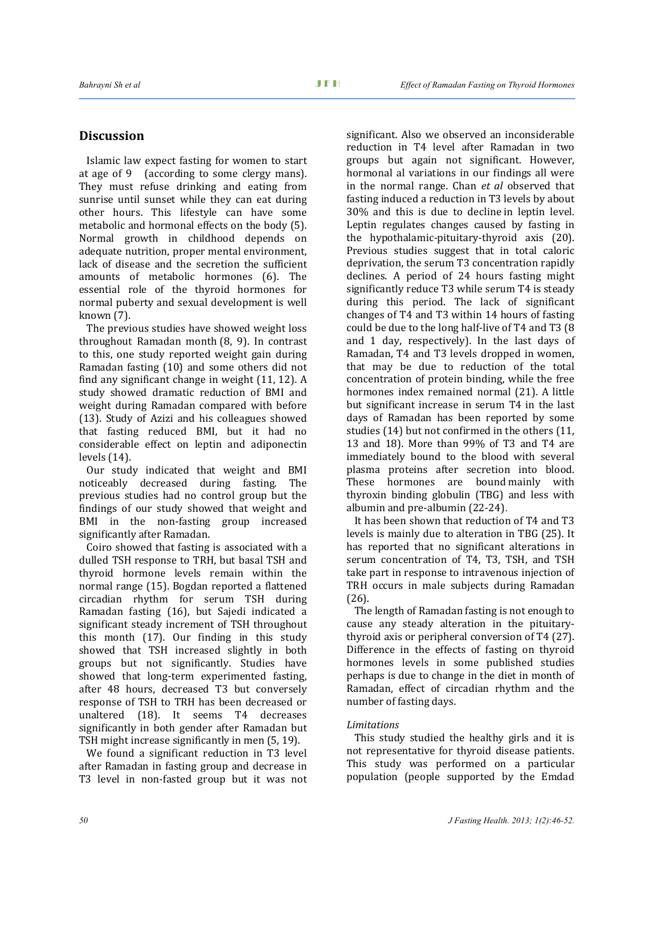# **Discussion**

Islamic law expect fasting for women to start at age of 9 (according to some clergy mans). They must refuse drinking and eating from sunrise until sunset while they can eat during other hours. This lifestyle can have some metabolic and hormonal effects on the body (5). Normal growth in childhood depends on adequate nutrition, proper mental environment, lack of disease and the secretion the sufficient amounts of metabolic hormones (6). The essential role of the thyroid hormones for normal puberty and sexual development is well known (7).

The previous studies have showed weight loss throughout Ramadan month (8, 9). In contrast to this, one study reported weight gain during Ramadan fasting (10) and some others did not find any significant change in weight (11, 12). A study showed dramatic reduction of BMI and weight during Ramadan compared with before (13). Study of Azizi and his colleagues showed that fasting reduced BMI, but it had no considerable effect on leptin and adiponectin levels (14).

Our study indicated that weight and BMI noticeably decreased during fasting. The previous studies had no control group but the findings of our study showed that weight and BMI in the non-fasting group increased significantly after Ramadan.

Coiro showed that fasting is associated with a dulled TSH response to TRH, but basal TSH and thyroid hormone levels remain within the normal range (15). Bogdan reported a flattened circadian rhythm for serum TSH during Ramadan fasting (16), but Sajedi indicated a significant steady increment of TSH throughout this month (17). Our finding in this study showed that TSH increased slightly in both groups but not significantly. Studies have showed that long-term experimented fasting, after 48 hours, decreased T3 but conversely response of TSH to TRH has been decreased or unaltered (18). It seems T4 decreases significantly in both gender after Ramadan but TSH might increase significantly in men (5, 19).

We found a significant reduction in T3 level after Ramadan in fasting group and decrease in T3 level in non-fasted group but it was not significant. Also we observed an inconsiderable reduction in T4 level after Ramadan in two groups but again not significant. However, hormonal al variations in our findings all were in the normal range. Chan *et al* observed that fasting induced a reduction in T3 levels by about 30% and this is due to decline in leptin level. Leptin regulates changes caused by fasting in the hypothalamic-pituitary-thyroid axis (20). Previous studies suggest that in total caloric deprivation, the serum T3 concentration rapidly declines. A period of 24 hours fasting might significantly reduce T3 while serum T4 is steady during this period. The lack of significant changes of T4 and T3 within 14 hours of fasting could be due to the long half-live of T4 and T3 (8 and 1 day, respectively). In the last days of Ramadan, T4 and T3 levels dropped in women, that may be due to reduction of the total concentration of protein binding, while the free hormones index remained normal (21). A little but significant increase in serum T4 in the last days of Ramadan has been reported by some studies (14) but not confirmed in the others (11, 13 and 18). More than 99% of T3 and T4 are immediately bound to the blood with several plasma proteins after secretion into blood. These hormones are bound mainly with thyroxin binding globulin (TBG) and less with albumin and pre-albumin (22-24).

It has been shown that reduction of T4 and T3 levels is mainly due to alteration in TBG (25). It has reported that no significant alterations in serum concentration of T4, T3, TSH, and TSH take part in response to intravenous injection of TRH occurs in male subjects during Ramadan (26).

The length of Ramadan fasting is not enough to cause any steady alteration in the pituitarythyroid axis or peripheral conversion of T4 (27). Difference in the effects of fasting on thyroid hormones levels in some published studies perhaps is due to change in the diet in month of Ramadan, effect of circadian rhythm and the number of fasting days.

#### *Limitations*

This study studied the healthy girls and it is not representative for thyroid disease patients. This study was performed on a particular population (people supported by the Emdad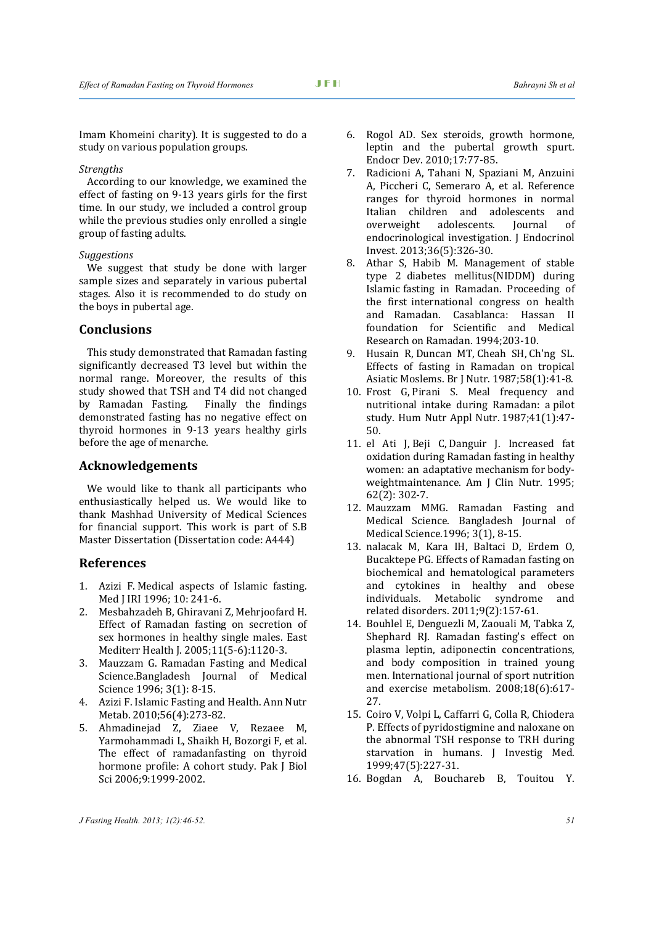Imam Khomeini charity). It is suggested to do a study on various population groups.

#### *Strengths*

According to our knowledge, we examined the effect of fasting on 9-13 years girls for the first time. In our study, we included a control group while the previous studies only enrolled a single group of fasting adults.

#### *Suggestions*

We suggest that study be done with larger sample sizes and separately in various pubertal stages. Also it is recommended to do study on the boys in pubertal age.

# **Conclusions**

This study demonstrated that Ramadan fasting significantly decreased T3 level but within the normal range. Moreover, the results of this study showed that TSH and T4 did not changed by Ramadan Fasting. Finally the findings demonstrated fasting has no negative effect on thyroid hormones in 9-13 years healthy girls before the age of menarche.

# **Acknowledgements**

We would like to thank all participants who enthusiastically helped us. We would like to thank Mashhad University of Medical Sciences for financial support. This work is part of S.B Master Dissertation (Dissertation code: A444)

## **References**

- 1. Azizi F. Medical aspects of Islamic fasting. Med J IRI 1996; 10: 241-6.
- 2. [Mesbahzadeh B,](http://www.ncbi.nlm.nih.gov/pubmed?term=Mesbahzadeh%20B%5BAuthor%5D&cauthor=true&cauthor_uid=16761684) [Ghiravani Z,](http://www.ncbi.nlm.nih.gov/pubmed?term=Ghiravani%20Z%5BAuthor%5D&cauthor=true&cauthor_uid=16761684) [Mehrjoofard H.](http://www.ncbi.nlm.nih.gov/pubmed?term=Mehrjoofard%20H%5BAuthor%5D&cauthor=true&cauthor_uid=16761684)  Effect of Ramadan fasting on secretion of sex hormones in healthy single males. [East](http://www.ncbi.nlm.nih.gov/pubmed/16761684)  [Mediterr Health J.](http://www.ncbi.nlm.nih.gov/pubmed/16761684) 2005;11(5-6):1120-3.
- 3. Mauzzam G. Ramadan Fasting and Medical Science.Bangladesh Journal of Medical Science 1996; 3(1): 8-15.
- 4. Azizi F. Islamic Fasting and Health. [Ann Nutr](http://www.ncbi.nlm.nih.gov/pubmed/20424438)  [Metab.](http://www.ncbi.nlm.nih.gov/pubmed/20424438) 2010;56(4):273-82.
- 5. Ahmadinejad Z, Ziaee V, Rezaee M, Yarmohammadi L, Shaikh H, Bozorgi F, et al. The effect of ramadanfasting on thyroid hormone profile: A cohort study. Pak J Biol Sci 2006;9:1999-2002.
- 6. Rogol AD. Sex steroids, growth hormone, leptin and the pubertal growth spurt. [Endocr Dev.](http://www.ncbi.nlm.nih.gov/pubmed/19955758) 2010;17:77-85.
- 7. Radicioni A, Tahani N, Spaziani M, Anzuini A, Piccheri C, Semeraro A, et al. Reference ranges for thyroid hormones in normal Italian children and adolescents and<br>overweight adolescents. Journal of overweight adolescents. Journal of endocrinological investigation. [J Endocrinol](http://www.ncbi.nlm.nih.gov/pubmed/22932004)  [Invest.](http://www.ncbi.nlm.nih.gov/pubmed/22932004) 2013;36(5):326-30.
- 8. Athar S, Habib M. Management of stable type 2 diabetes mellitus(NIDDM) during Islamic fasting in Ramadan. Proceeding of the first international congress on health and Ramadan. Casablanca: Hassan II foundation for Scientific and Medical Research on Ramadan. 1994;203-10.
- 9. [Husain R,](http://www.ncbi.nlm.nih.gov/pubmed?term=Husain%20R%5BAuthor%5D&cauthor=true&cauthor_uid=3620437) [Duncan MT,](http://www.ncbi.nlm.nih.gov/pubmed?term=Duncan%20MT%5BAuthor%5D&cauthor=true&cauthor_uid=3620437) [Cheah SH,](http://www.ncbi.nlm.nih.gov/pubmed?term=Cheah%20SH%5BAuthor%5D&cauthor=true&cauthor_uid=3620437) Ch['ng SL.](http://www.ncbi.nlm.nih.gov/pubmed?term=Ch) Effects of fasting in Ramadan on tropical Asiatic Moslems. [Br J Nutr.](http://www.ncbi.nlm.nih.gov/pubmed/3620437) 1987;58(1):41-8.
- 10. [Frost G,](http://www.ncbi.nlm.nih.gov/pubmed?term=Frost%20G%5BAuthor%5D&cauthor=true&cauthor_uid=3558007) [Pirani S.](http://www.ncbi.nlm.nih.gov/pubmed?term=Pirani%20S%5BAuthor%5D&cauthor=true&cauthor_uid=3558007) Meal frequency and nutritional intake during Ramadan: a pilot study. [Hum Nutr Appl Nutr.](http://www.ncbi.nlm.nih.gov/pubmed/?term=meal+frequency+and+nutritional+intake+during+Ramadan+%3A+A+pilot+study) 1987;41(1):47- 50.
- 11. [el Ati J,](http://www.ncbi.nlm.nih.gov/pubmed?term=el%20Ati%20J%5BAuthor%5D&cauthor=true&cauthor_uid=7625336) [Beji C,](http://www.ncbi.nlm.nih.gov/pubmed?term=Beji%20C%5BAuthor%5D&cauthor=true&cauthor_uid=7625336) [Danguir J.](http://www.ncbi.nlm.nih.gov/pubmed?term=Danguir%20J%5BAuthor%5D&cauthor=true&cauthor_uid=7625336) Increased fat oxidation during Ramadan fasting in healthy women: an adaptative mechanism for bodyweightmaintenance. [Am J Clin Nutr.](http://www.ncbi.nlm.nih.gov/pubmed/?term=Increased+fat+oxidation+during+Ramadan+fasting+in+healthy+women%3A+an+adaptative+mechanism+for+body-weight+maintenance) 1995; 62(2): 302-7.
- 12. Mauzzam MMG. [Ramadan Fasting and](http://www.banglajol.info/index.php/BJMS/article/viewFile/8221/6165)  [Medical Science.](http://www.banglajol.info/index.php/BJMS/article/viewFile/8221/6165) Bangladesh Journal of Medical Science.1996; 3(1), 8-15.
- 13. nalacak M, Kara IH, Baltaci D, Erdem O, Bucaktepe PG. Effects of Ramadan fasting on biochemical and hematological parameters and cytokines in healthy and obese<br>individuals. Metabolic syndrome and individuals. related disorders. 2011;9(2):157-61.
- 14. Bouhlel E, Denguezli M, Zaouali M, Tabka Z, Shephard RJ. Ramadan fasting's effect on plasma leptin, adiponectin concentrations, and body composition in trained young men. International journal of sport nutrition and exercise metabolism. 2008;18(6):617- 27.
- 15. Coiro V, Volpi L, Caffarri G, Colla R, Chiodera P. Effects of pyridostigmine and naloxane on the abnormal TSH response to TRH during starvation in humans. J Investig Med. 1999;47(5):227-31.
- 16. [Bogdan A,](http://www.ncbi.nlm.nih.gov/pubmed?term=Bogdan%20A%5BAuthor%5D&cauthor=true&cauthor_uid=11263673) [Bouchareb B,](http://www.ncbi.nlm.nih.gov/pubmed?term=Bouchareb%20B%5BAuthor%5D&cauthor=true&cauthor_uid=11263673) [Touitou Y.](http://www.ncbi.nlm.nih.gov/pubmed?term=Touitou%20Y%5BAuthor%5D&cauthor=true&cauthor_uid=11263673)